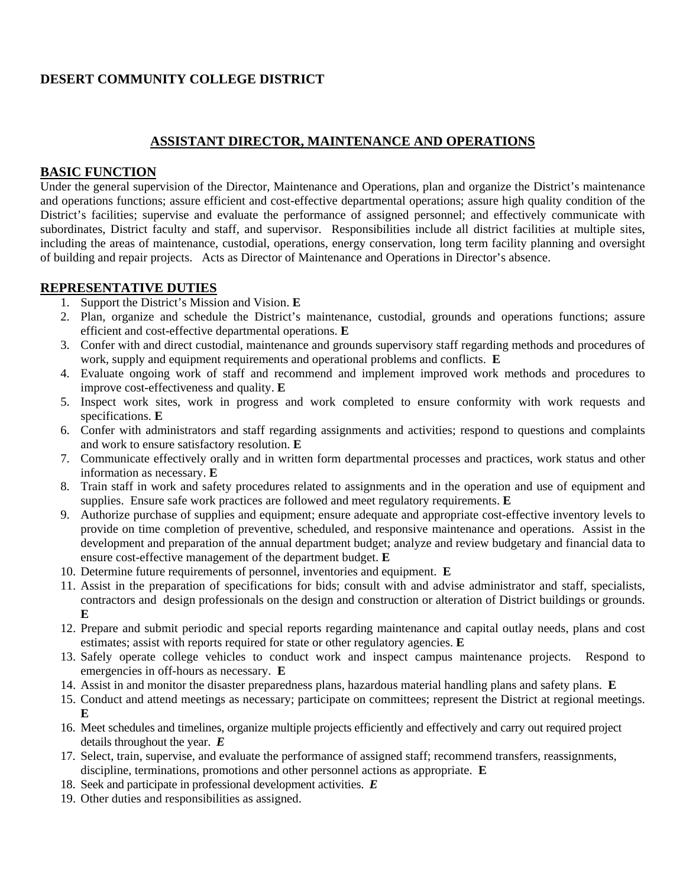# **DESERT COMMUNITY COLLEGE DISTRICT**

## **ASSISTANT DIRECTOR, MAINTENANCE AND OPERATIONS**

#### **BASIC FUNCTION**

Under the general supervision of the Director, Maintenance and Operations, plan and organize the District's maintenance and operations functions; assure efficient and cost-effective departmental operations; assure high quality condition of the District's facilities; supervise and evaluate the performance of assigned personnel; and effectively communicate with subordinates, District faculty and staff, and supervisor. Responsibilities include all district facilities at multiple sites, including the areas of maintenance, custodial, operations, energy conservation, long term facility planning and oversight of building and repair projects. Acts as Director of Maintenance and Operations in Director's absence.

#### **REPRESENTATIVE DUTIES**

- 1. Support the District's Mission and Vision. **E**
- 2. Plan, organize and schedule the District's maintenance, custodial, grounds and operations functions; assure efficient and cost-effective departmental operations. **E**
- 3. Confer with and direct custodial, maintenance and grounds supervisory staff regarding methods and procedures of work, supply and equipment requirements and operational problems and conflicts. **E**
- 4. Evaluate ongoing work of staff and recommend and implement improved work methods and procedures to improve cost-effectiveness and quality. **E**
- 5. Inspect work sites, work in progress and work completed to ensure conformity with work requests and specifications. **E**
- 6. Confer with administrators and staff regarding assignments and activities; respond to questions and complaints and work to ensure satisfactory resolution. **E**
- 7. Communicate effectively orally and in written form departmental processes and practices, work status and other information as necessary. **E**
- 8. Train staff in work and safety procedures related to assignments and in the operation and use of equipment and supplies. Ensure safe work practices are followed and meet regulatory requirements. **E**
- 9. Authorize purchase of supplies and equipment; ensure adequate and appropriate cost-effective inventory levels to provide on time completion of preventive, scheduled, and responsive maintenance and operations. Assist in the development and preparation of the annual department budget; analyze and review budgetary and financial data to ensure cost-effective management of the department budget. **E**
- 10. Determine future requirements of personnel, inventories and equipment. **E**
- 11. Assist in the preparation of specifications for bids; consult with and advise administrator and staff, specialists, contractors and design professionals on the design and construction or alteration of District buildings or grounds. **E**
- 12. Prepare and submit periodic and special reports regarding maintenance and capital outlay needs, plans and cost estimates; assist with reports required for state or other regulatory agencies. **E**
- 13. Safely operate college vehicles to conduct work and inspect campus maintenance projects. Respond to emergencies in off-hours as necessary. **E**
- 14. Assist in and monitor the disaster preparedness plans, hazardous material handling plans and safety plans. **E**
- 15. Conduct and attend meetings as necessary; participate on committees; represent the District at regional meetings. **E**
- 16. Meet schedules and timelines, organize multiple projects efficiently and effectively and carry out required project details throughout the year. *E*
- 17. Select, train, supervise, and evaluate the performance of assigned staff; recommend transfers, reassignments, discipline, terminations, promotions and other personnel actions as appropriate. **E**
- 18. Seek and participate in professional development activities. *E*
- 19. Other duties and responsibilities as assigned.